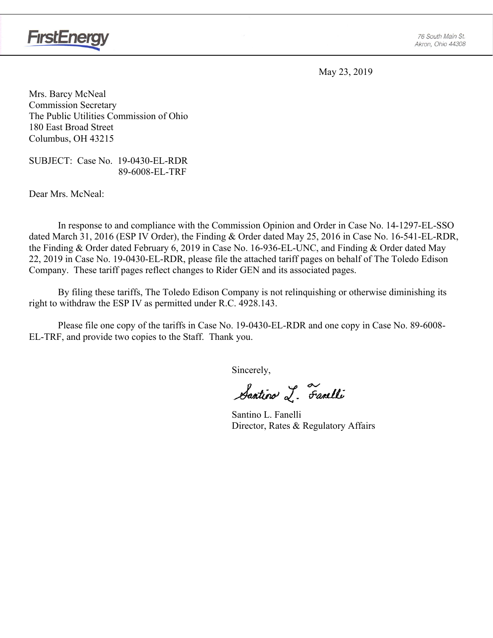

May 23, 2019

Mrs. Barcy McNeal Commission Secretary The Public Utilities Commission of Ohio 180 East Broad Street Columbus, OH 43215

SUBJECT: Case No. 19-0430-EL-RDR 89-6008-EL-TRF

Dear Mrs. McNeal:

In response to and compliance with the Commission Opinion and Order in Case No. 14-1297-EL-SSO dated March 31, 2016 (ESP IV Order), the Finding & Order dated May 25, 2016 in Case No. 16-541-EL-RDR, the Finding & Order dated February 6, 2019 in Case No. 16-936-EL-UNC, and Finding & Order dated May 22, 2019 in Case No. 19-0430-EL-RDR, please file the attached tariff pages on behalf of The Toledo Edison Company. These tariff pages reflect changes to Rider GEN and its associated pages.

By filing these tariffs, The Toledo Edison Company is not relinquishing or otherwise diminishing its right to withdraw the ESP IV as permitted under R.C. 4928.143.

Please file one copy of the tariffs in Case No. 19-0430-EL-RDR and one copy in Case No. 89-6008- EL-TRF, and provide two copies to the Staff. Thank you.

Sincerely,

Santino L. Fanelli

 Santino L. Fanelli Director, Rates & Regulatory Affairs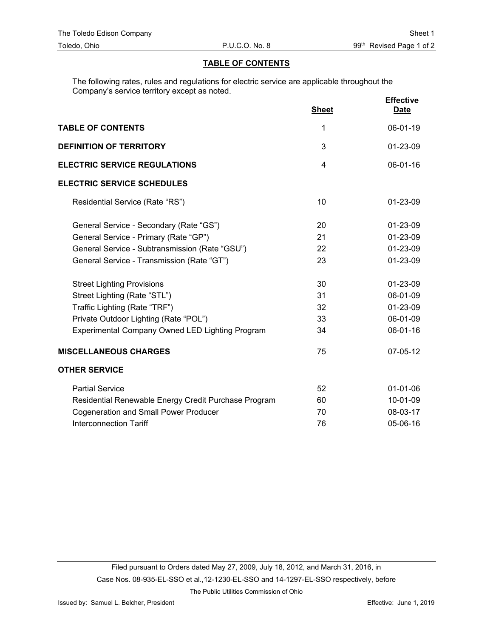# **TABLE OF CONTENTS**

The following rates, rules and regulations for electric service are applicable throughout the Company's service territory except as noted.

|                                                        | <b>Sheet</b>   | <b>Effective</b><br><b>Date</b> |
|--------------------------------------------------------|----------------|---------------------------------|
| <b>TABLE OF CONTENTS</b>                               | 1              | 06-01-19                        |
| <b>DEFINITION OF TERRITORY</b>                         | 3              | 01-23-09                        |
| <b>ELECTRIC SERVICE REGULATIONS</b>                    | $\overline{4}$ | 06-01-16                        |
| <b>ELECTRIC SERVICE SCHEDULES</b>                      |                |                                 |
| Residential Service (Rate "RS")                        | 10             | 01-23-09                        |
| General Service - Secondary (Rate "GS")                | 20             | 01-23-09                        |
| General Service - Primary (Rate "GP")                  | 21             | 01-23-09                        |
| General Service - Subtransmission (Rate "GSU")         | 22             | 01-23-09                        |
| General Service - Transmission (Rate "GT")             | 23             | 01-23-09                        |
| <b>Street Lighting Provisions</b>                      | 30             | 01-23-09                        |
| Street Lighting (Rate "STL")                           | 31             | 06-01-09                        |
| Traffic Lighting (Rate "TRF")                          | 32             | 01-23-09                        |
| Private Outdoor Lighting (Rate "POL")                  | 33             | 06-01-09                        |
| <b>Experimental Company Owned LED Lighting Program</b> | 34             | 06-01-16                        |
| <b>MISCELLANEOUS CHARGES</b>                           | 75             | 07-05-12                        |
| <b>OTHER SERVICE</b>                                   |                |                                 |
| <b>Partial Service</b>                                 | 52             | $01 - 01 - 06$                  |
| Residential Renewable Energy Credit Purchase Program   | 60             | 10-01-09                        |
| <b>Cogeneration and Small Power Producer</b>           | 70             | 08-03-17                        |
| <b>Interconnection Tariff</b>                          | 76             | 05-06-16                        |

The Public Utilities Commission of Ohio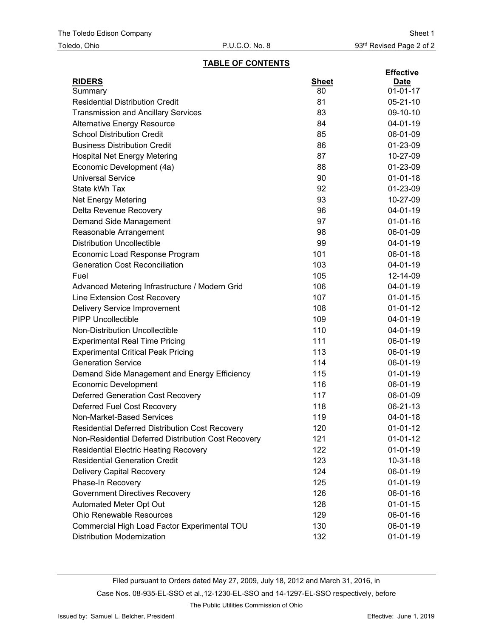#### **TABLE OF CONTENTS**

| <b>RIDERS</b><br><b>Sheet</b><br><b>Date</b><br>80<br>$01 - 01 - 17$<br>Summary<br><b>Residential Distribution Credit</b><br>81<br>$05 - 21 - 10$<br><b>Transmission and Ancillary Services</b><br>83<br>09-10-10<br>84<br>04-01-19<br><b>Alternative Energy Resource</b><br><b>School Distribution Credit</b><br>85<br>06-01-09<br><b>Business Distribution Credit</b><br>86<br>01-23-09<br>87<br><b>Hospital Net Energy Metering</b><br>10-27-09<br>Economic Development (4a)<br>88<br>01-23-09<br>90<br>$01 - 01 - 18$<br><b>Universal Service</b><br>State kWh Tax<br>92<br>01-23-09<br>93<br>10-27-09<br><b>Net Energy Metering</b><br>Delta Revenue Recovery<br>96<br>04-01-19<br>97<br>$01 - 01 - 16$<br>Demand Side Management<br>98<br>06-01-09<br>Reasonable Arrangement<br><b>Distribution Uncollectible</b><br>99<br>04-01-19<br>101<br>Economic Load Response Program<br>06-01-18<br>103<br><b>Generation Cost Reconciliation</b><br>04-01-19<br>Fuel<br>105<br>12-14-09<br>106<br>$04 - 01 - 19$<br>Advanced Metering Infrastructure / Modern Grid<br>Line Extension Cost Recovery<br>107<br>$01 - 01 - 15$<br><b>Delivery Service Improvement</b><br>108<br>$01 - 01 - 12$<br><b>PIPP Uncollectible</b><br>109<br>04-01-19<br>Non-Distribution Uncollectible<br>110<br>04-01-19<br><b>Experimental Real Time Pricing</b><br>111<br>06-01-19<br><b>Experimental Critical Peak Pricing</b><br>113<br>06-01-19<br><b>Generation Service</b><br>114<br>06-01-19<br>115<br>$01-01-19$<br>Demand Side Management and Energy Efficiency<br>116<br>06-01-19<br><b>Economic Development</b><br><b>Deferred Generation Cost Recovery</b><br>117<br>06-01-09<br>Deferred Fuel Cost Recovery<br>118<br>06-21-13<br>Non-Market-Based Services<br>119<br>04-01-18<br>120<br>Residential Deferred Distribution Cost Recovery<br>$01-01-12$<br>Non-Residential Deferred Distribution Cost Recovery<br>$01-01-12$<br>121<br>122<br><b>Residential Electric Heating Recovery</b><br>$01-01-19$<br><b>Residential Generation Credit</b><br>123<br>$10 - 31 - 18$<br><b>Delivery Capital Recovery</b><br>124<br>06-01-19<br>Phase-In Recovery<br>125<br>$01 - 01 - 19$<br><b>Government Directives Recovery</b><br>126<br>06-01-16<br>Automated Meter Opt Out<br>128<br>$01 - 01 - 15$<br><b>Ohio Renewable Resources</b><br>129<br>06-01-16<br>Commercial High Load Factor Experimental TOU<br>130<br>06-01-19 |  | <b>Effective</b> |
|------------------------------------------------------------------------------------------------------------------------------------------------------------------------------------------------------------------------------------------------------------------------------------------------------------------------------------------------------------------------------------------------------------------------------------------------------------------------------------------------------------------------------------------------------------------------------------------------------------------------------------------------------------------------------------------------------------------------------------------------------------------------------------------------------------------------------------------------------------------------------------------------------------------------------------------------------------------------------------------------------------------------------------------------------------------------------------------------------------------------------------------------------------------------------------------------------------------------------------------------------------------------------------------------------------------------------------------------------------------------------------------------------------------------------------------------------------------------------------------------------------------------------------------------------------------------------------------------------------------------------------------------------------------------------------------------------------------------------------------------------------------------------------------------------------------------------------------------------------------------------------------------------------------------------------------------------------------------------------------------------------------------------------------------------------------------------------------------------------------------------------------------------------------------------------------------------------------------------------------------------------------------------------------------------------------------------------------------------------------------------------------------------------|--|------------------|
|                                                                                                                                                                                                                                                                                                                                                                                                                                                                                                                                                                                                                                                                                                                                                                                                                                                                                                                                                                                                                                                                                                                                                                                                                                                                                                                                                                                                                                                                                                                                                                                                                                                                                                                                                                                                                                                                                                                                                                                                                                                                                                                                                                                                                                                                                                                                                                                                            |  |                  |
|                                                                                                                                                                                                                                                                                                                                                                                                                                                                                                                                                                                                                                                                                                                                                                                                                                                                                                                                                                                                                                                                                                                                                                                                                                                                                                                                                                                                                                                                                                                                                                                                                                                                                                                                                                                                                                                                                                                                                                                                                                                                                                                                                                                                                                                                                                                                                                                                            |  |                  |
|                                                                                                                                                                                                                                                                                                                                                                                                                                                                                                                                                                                                                                                                                                                                                                                                                                                                                                                                                                                                                                                                                                                                                                                                                                                                                                                                                                                                                                                                                                                                                                                                                                                                                                                                                                                                                                                                                                                                                                                                                                                                                                                                                                                                                                                                                                                                                                                                            |  |                  |
|                                                                                                                                                                                                                                                                                                                                                                                                                                                                                                                                                                                                                                                                                                                                                                                                                                                                                                                                                                                                                                                                                                                                                                                                                                                                                                                                                                                                                                                                                                                                                                                                                                                                                                                                                                                                                                                                                                                                                                                                                                                                                                                                                                                                                                                                                                                                                                                                            |  |                  |
|                                                                                                                                                                                                                                                                                                                                                                                                                                                                                                                                                                                                                                                                                                                                                                                                                                                                                                                                                                                                                                                                                                                                                                                                                                                                                                                                                                                                                                                                                                                                                                                                                                                                                                                                                                                                                                                                                                                                                                                                                                                                                                                                                                                                                                                                                                                                                                                                            |  |                  |
|                                                                                                                                                                                                                                                                                                                                                                                                                                                                                                                                                                                                                                                                                                                                                                                                                                                                                                                                                                                                                                                                                                                                                                                                                                                                                                                                                                                                                                                                                                                                                                                                                                                                                                                                                                                                                                                                                                                                                                                                                                                                                                                                                                                                                                                                                                                                                                                                            |  |                  |
|                                                                                                                                                                                                                                                                                                                                                                                                                                                                                                                                                                                                                                                                                                                                                                                                                                                                                                                                                                                                                                                                                                                                                                                                                                                                                                                                                                                                                                                                                                                                                                                                                                                                                                                                                                                                                                                                                                                                                                                                                                                                                                                                                                                                                                                                                                                                                                                                            |  |                  |
|                                                                                                                                                                                                                                                                                                                                                                                                                                                                                                                                                                                                                                                                                                                                                                                                                                                                                                                                                                                                                                                                                                                                                                                                                                                                                                                                                                                                                                                                                                                                                                                                                                                                                                                                                                                                                                                                                                                                                                                                                                                                                                                                                                                                                                                                                                                                                                                                            |  |                  |
|                                                                                                                                                                                                                                                                                                                                                                                                                                                                                                                                                                                                                                                                                                                                                                                                                                                                                                                                                                                                                                                                                                                                                                                                                                                                                                                                                                                                                                                                                                                                                                                                                                                                                                                                                                                                                                                                                                                                                                                                                                                                                                                                                                                                                                                                                                                                                                                                            |  |                  |
|                                                                                                                                                                                                                                                                                                                                                                                                                                                                                                                                                                                                                                                                                                                                                                                                                                                                                                                                                                                                                                                                                                                                                                                                                                                                                                                                                                                                                                                                                                                                                                                                                                                                                                                                                                                                                                                                                                                                                                                                                                                                                                                                                                                                                                                                                                                                                                                                            |  |                  |
|                                                                                                                                                                                                                                                                                                                                                                                                                                                                                                                                                                                                                                                                                                                                                                                                                                                                                                                                                                                                                                                                                                                                                                                                                                                                                                                                                                                                                                                                                                                                                                                                                                                                                                                                                                                                                                                                                                                                                                                                                                                                                                                                                                                                                                                                                                                                                                                                            |  |                  |
|                                                                                                                                                                                                                                                                                                                                                                                                                                                                                                                                                                                                                                                                                                                                                                                                                                                                                                                                                                                                                                                                                                                                                                                                                                                                                                                                                                                                                                                                                                                                                                                                                                                                                                                                                                                                                                                                                                                                                                                                                                                                                                                                                                                                                                                                                                                                                                                                            |  |                  |
|                                                                                                                                                                                                                                                                                                                                                                                                                                                                                                                                                                                                                                                                                                                                                                                                                                                                                                                                                                                                                                                                                                                                                                                                                                                                                                                                                                                                                                                                                                                                                                                                                                                                                                                                                                                                                                                                                                                                                                                                                                                                                                                                                                                                                                                                                                                                                                                                            |  |                  |
|                                                                                                                                                                                                                                                                                                                                                                                                                                                                                                                                                                                                                                                                                                                                                                                                                                                                                                                                                                                                                                                                                                                                                                                                                                                                                                                                                                                                                                                                                                                                                                                                                                                                                                                                                                                                                                                                                                                                                                                                                                                                                                                                                                                                                                                                                                                                                                                                            |  |                  |
|                                                                                                                                                                                                                                                                                                                                                                                                                                                                                                                                                                                                                                                                                                                                                                                                                                                                                                                                                                                                                                                                                                                                                                                                                                                                                                                                                                                                                                                                                                                                                                                                                                                                                                                                                                                                                                                                                                                                                                                                                                                                                                                                                                                                                                                                                                                                                                                                            |  |                  |
|                                                                                                                                                                                                                                                                                                                                                                                                                                                                                                                                                                                                                                                                                                                                                                                                                                                                                                                                                                                                                                                                                                                                                                                                                                                                                                                                                                                                                                                                                                                                                                                                                                                                                                                                                                                                                                                                                                                                                                                                                                                                                                                                                                                                                                                                                                                                                                                                            |  |                  |
|                                                                                                                                                                                                                                                                                                                                                                                                                                                                                                                                                                                                                                                                                                                                                                                                                                                                                                                                                                                                                                                                                                                                                                                                                                                                                                                                                                                                                                                                                                                                                                                                                                                                                                                                                                                                                                                                                                                                                                                                                                                                                                                                                                                                                                                                                                                                                                                                            |  |                  |
|                                                                                                                                                                                                                                                                                                                                                                                                                                                                                                                                                                                                                                                                                                                                                                                                                                                                                                                                                                                                                                                                                                                                                                                                                                                                                                                                                                                                                                                                                                                                                                                                                                                                                                                                                                                                                                                                                                                                                                                                                                                                                                                                                                                                                                                                                                                                                                                                            |  |                  |
|                                                                                                                                                                                                                                                                                                                                                                                                                                                                                                                                                                                                                                                                                                                                                                                                                                                                                                                                                                                                                                                                                                                                                                                                                                                                                                                                                                                                                                                                                                                                                                                                                                                                                                                                                                                                                                                                                                                                                                                                                                                                                                                                                                                                                                                                                                                                                                                                            |  |                  |
|                                                                                                                                                                                                                                                                                                                                                                                                                                                                                                                                                                                                                                                                                                                                                                                                                                                                                                                                                                                                                                                                                                                                                                                                                                                                                                                                                                                                                                                                                                                                                                                                                                                                                                                                                                                                                                                                                                                                                                                                                                                                                                                                                                                                                                                                                                                                                                                                            |  |                  |
|                                                                                                                                                                                                                                                                                                                                                                                                                                                                                                                                                                                                                                                                                                                                                                                                                                                                                                                                                                                                                                                                                                                                                                                                                                                                                                                                                                                                                                                                                                                                                                                                                                                                                                                                                                                                                                                                                                                                                                                                                                                                                                                                                                                                                                                                                                                                                                                                            |  |                  |
|                                                                                                                                                                                                                                                                                                                                                                                                                                                                                                                                                                                                                                                                                                                                                                                                                                                                                                                                                                                                                                                                                                                                                                                                                                                                                                                                                                                                                                                                                                                                                                                                                                                                                                                                                                                                                                                                                                                                                                                                                                                                                                                                                                                                                                                                                                                                                                                                            |  |                  |
|                                                                                                                                                                                                                                                                                                                                                                                                                                                                                                                                                                                                                                                                                                                                                                                                                                                                                                                                                                                                                                                                                                                                                                                                                                                                                                                                                                                                                                                                                                                                                                                                                                                                                                                                                                                                                                                                                                                                                                                                                                                                                                                                                                                                                                                                                                                                                                                                            |  |                  |
|                                                                                                                                                                                                                                                                                                                                                                                                                                                                                                                                                                                                                                                                                                                                                                                                                                                                                                                                                                                                                                                                                                                                                                                                                                                                                                                                                                                                                                                                                                                                                                                                                                                                                                                                                                                                                                                                                                                                                                                                                                                                                                                                                                                                                                                                                                                                                                                                            |  |                  |
|                                                                                                                                                                                                                                                                                                                                                                                                                                                                                                                                                                                                                                                                                                                                                                                                                                                                                                                                                                                                                                                                                                                                                                                                                                                                                                                                                                                                                                                                                                                                                                                                                                                                                                                                                                                                                                                                                                                                                                                                                                                                                                                                                                                                                                                                                                                                                                                                            |  |                  |
|                                                                                                                                                                                                                                                                                                                                                                                                                                                                                                                                                                                                                                                                                                                                                                                                                                                                                                                                                                                                                                                                                                                                                                                                                                                                                                                                                                                                                                                                                                                                                                                                                                                                                                                                                                                                                                                                                                                                                                                                                                                                                                                                                                                                                                                                                                                                                                                                            |  |                  |
|                                                                                                                                                                                                                                                                                                                                                                                                                                                                                                                                                                                                                                                                                                                                                                                                                                                                                                                                                                                                                                                                                                                                                                                                                                                                                                                                                                                                                                                                                                                                                                                                                                                                                                                                                                                                                                                                                                                                                                                                                                                                                                                                                                                                                                                                                                                                                                                                            |  |                  |
|                                                                                                                                                                                                                                                                                                                                                                                                                                                                                                                                                                                                                                                                                                                                                                                                                                                                                                                                                                                                                                                                                                                                                                                                                                                                                                                                                                                                                                                                                                                                                                                                                                                                                                                                                                                                                                                                                                                                                                                                                                                                                                                                                                                                                                                                                                                                                                                                            |  |                  |
|                                                                                                                                                                                                                                                                                                                                                                                                                                                                                                                                                                                                                                                                                                                                                                                                                                                                                                                                                                                                                                                                                                                                                                                                                                                                                                                                                                                                                                                                                                                                                                                                                                                                                                                                                                                                                                                                                                                                                                                                                                                                                                                                                                                                                                                                                                                                                                                                            |  |                  |
|                                                                                                                                                                                                                                                                                                                                                                                                                                                                                                                                                                                                                                                                                                                                                                                                                                                                                                                                                                                                                                                                                                                                                                                                                                                                                                                                                                                                                                                                                                                                                                                                                                                                                                                                                                                                                                                                                                                                                                                                                                                                                                                                                                                                                                                                                                                                                                                                            |  |                  |
|                                                                                                                                                                                                                                                                                                                                                                                                                                                                                                                                                                                                                                                                                                                                                                                                                                                                                                                                                                                                                                                                                                                                                                                                                                                                                                                                                                                                                                                                                                                                                                                                                                                                                                                                                                                                                                                                                                                                                                                                                                                                                                                                                                                                                                                                                                                                                                                                            |  |                  |
|                                                                                                                                                                                                                                                                                                                                                                                                                                                                                                                                                                                                                                                                                                                                                                                                                                                                                                                                                                                                                                                                                                                                                                                                                                                                                                                                                                                                                                                                                                                                                                                                                                                                                                                                                                                                                                                                                                                                                                                                                                                                                                                                                                                                                                                                                                                                                                                                            |  |                  |
|                                                                                                                                                                                                                                                                                                                                                                                                                                                                                                                                                                                                                                                                                                                                                                                                                                                                                                                                                                                                                                                                                                                                                                                                                                                                                                                                                                                                                                                                                                                                                                                                                                                                                                                                                                                                                                                                                                                                                                                                                                                                                                                                                                                                                                                                                                                                                                                                            |  |                  |
|                                                                                                                                                                                                                                                                                                                                                                                                                                                                                                                                                                                                                                                                                                                                                                                                                                                                                                                                                                                                                                                                                                                                                                                                                                                                                                                                                                                                                                                                                                                                                                                                                                                                                                                                                                                                                                                                                                                                                                                                                                                                                                                                                                                                                                                                                                                                                                                                            |  |                  |
|                                                                                                                                                                                                                                                                                                                                                                                                                                                                                                                                                                                                                                                                                                                                                                                                                                                                                                                                                                                                                                                                                                                                                                                                                                                                                                                                                                                                                                                                                                                                                                                                                                                                                                                                                                                                                                                                                                                                                                                                                                                                                                                                                                                                                                                                                                                                                                                                            |  |                  |
|                                                                                                                                                                                                                                                                                                                                                                                                                                                                                                                                                                                                                                                                                                                                                                                                                                                                                                                                                                                                                                                                                                                                                                                                                                                                                                                                                                                                                                                                                                                                                                                                                                                                                                                                                                                                                                                                                                                                                                                                                                                                                                                                                                                                                                                                                                                                                                                                            |  |                  |
|                                                                                                                                                                                                                                                                                                                                                                                                                                                                                                                                                                                                                                                                                                                                                                                                                                                                                                                                                                                                                                                                                                                                                                                                                                                                                                                                                                                                                                                                                                                                                                                                                                                                                                                                                                                                                                                                                                                                                                                                                                                                                                                                                                                                                                                                                                                                                                                                            |  |                  |
|                                                                                                                                                                                                                                                                                                                                                                                                                                                                                                                                                                                                                                                                                                                                                                                                                                                                                                                                                                                                                                                                                                                                                                                                                                                                                                                                                                                                                                                                                                                                                                                                                                                                                                                                                                                                                                                                                                                                                                                                                                                                                                                                                                                                                                                                                                                                                                                                            |  |                  |
|                                                                                                                                                                                                                                                                                                                                                                                                                                                                                                                                                                                                                                                                                                                                                                                                                                                                                                                                                                                                                                                                                                                                                                                                                                                                                                                                                                                                                                                                                                                                                                                                                                                                                                                                                                                                                                                                                                                                                                                                                                                                                                                                                                                                                                                                                                                                                                                                            |  |                  |
|                                                                                                                                                                                                                                                                                                                                                                                                                                                                                                                                                                                                                                                                                                                                                                                                                                                                                                                                                                                                                                                                                                                                                                                                                                                                                                                                                                                                                                                                                                                                                                                                                                                                                                                                                                                                                                                                                                                                                                                                                                                                                                                                                                                                                                                                                                                                                                                                            |  |                  |
|                                                                                                                                                                                                                                                                                                                                                                                                                                                                                                                                                                                                                                                                                                                                                                                                                                                                                                                                                                                                                                                                                                                                                                                                                                                                                                                                                                                                                                                                                                                                                                                                                                                                                                                                                                                                                                                                                                                                                                                                                                                                                                                                                                                                                                                                                                                                                                                                            |  |                  |
|                                                                                                                                                                                                                                                                                                                                                                                                                                                                                                                                                                                                                                                                                                                                                                                                                                                                                                                                                                                                                                                                                                                                                                                                                                                                                                                                                                                                                                                                                                                                                                                                                                                                                                                                                                                                                                                                                                                                                                                                                                                                                                                                                                                                                                                                                                                                                                                                            |  |                  |
| <b>Distribution Modernization</b><br>132<br>$01 - 01 - 19$                                                                                                                                                                                                                                                                                                                                                                                                                                                                                                                                                                                                                                                                                                                                                                                                                                                                                                                                                                                                                                                                                                                                                                                                                                                                                                                                                                                                                                                                                                                                                                                                                                                                                                                                                                                                                                                                                                                                                                                                                                                                                                                                                                                                                                                                                                                                                 |  |                  |

Filed pursuant to Orders dated May 27, 2009, July 18, 2012 and March 31, 2016, in Case Nos. 08-935-EL-SSO et al.,12-1230-EL-SSO and 14-1297-EL-SSO respectively, before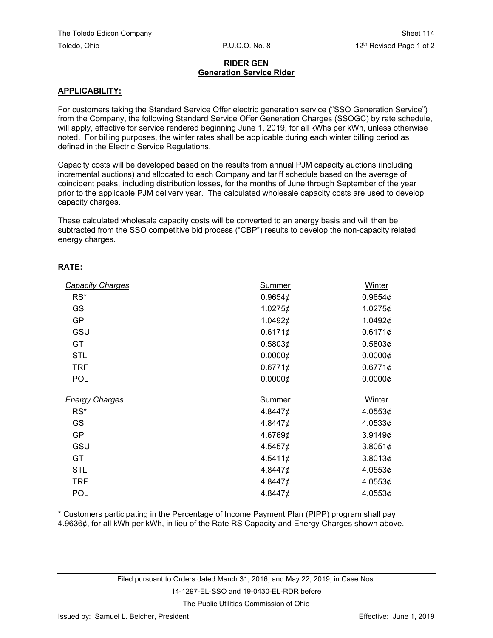# **RIDER GEN Generation Service Rider**

# **APPLICABILITY:**

For customers taking the Standard Service Offer electric generation service ("SSO Generation Service") from the Company, the following Standard Service Offer Generation Charges (SSOGC) by rate schedule, will apply, effective for service rendered beginning June 1, 2019, for all kWhs per kWh, unless otherwise noted. For billing purposes, the winter rates shall be applicable during each winter billing period as defined in the Electric Service Regulations.

Capacity costs will be developed based on the results from annual PJM capacity auctions (including incremental auctions) and allocated to each Company and tariff schedule based on the average of coincident peaks, including distribution losses, for the months of June through September of the year prior to the applicable PJM delivery year. The calculated wholesale capacity costs are used to develop capacity charges.

These calculated wholesale capacity costs will be converted to an energy basis and will then be subtracted from the SSO competitive bid process ("CBP") results to develop the non-capacity related energy charges.

#### **RATE:**

| <b>Capacity Charges</b> | <b>Summer</b> | Winter          |
|-------------------------|---------------|-----------------|
| $RS^*$                  | 0.9654 $\phi$ | 0.9654 $\phi$   |
| GS                      | 1.0275¢       | 1.0275¢         |
| <b>GP</b>               | 1.0492¢       | 1.0492¢         |
| GSU                     | 0.6171¢       | 0.6171¢         |
| GT                      | 0.5803¢       | 0.5803¢         |
| <b>STL</b>              | 0.0000¢       | $0.0000 \notin$ |
| <b>TRF</b>              | 0.6771¢       | 0.6771¢         |
| <b>POL</b>              | 0.0000¢       | $0.0000 \notin$ |
| <b>Energy Charges</b>   | Summer        | Winter          |
| $RS^*$                  | 4.8447¢       | 4.0553¢         |
| <b>GS</b>               | 4.8447¢       | 4.0533¢         |
| <b>GP</b>               | 4.6769¢       | 3.9149¢         |
| GSU                     | 4.5457¢       | 3.8051¢         |
| GT                      | 4.5411¢       | 3.8013¢         |
| <b>STL</b>              | 4.8447¢       | 4.0553¢         |
| <b>TRF</b>              | 4.8447¢       | 4.0553¢         |
| <b>POL</b>              | 4.8447¢       | 4.0553¢         |

\* Customers participating in the Percentage of Income Payment Plan (PIPP) program shall pay 4.9636¢, for all kWh per kWh, in lieu of the Rate RS Capacity and Energy Charges shown above.

#### 14-1297-EL-SSO and 19-0430-EL-RDR before

The Public Utilities Commission of Ohio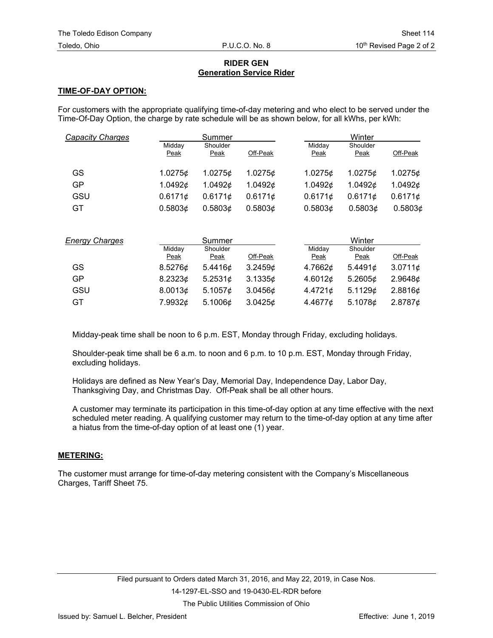# **RIDER GEN Generation Service Rider**

# **TIME-OF-DAY OPTION:**

For customers with the appropriate qualifying time-of-day metering and who elect to be served under the Time-Of-Day Option, the charge by rate schedule will be as shown below, for all kWhs, per kWh:

| Capacity Charges |                | Summer           |               |                | Winter           |          |
|------------------|----------------|------------------|---------------|----------------|------------------|----------|
|                  | Midday<br>Peak | Shoulder<br>Peak | Off-Peak      | Midday<br>Peak | Shoulder<br>Peak | Off-Peak |
| GS               | 1.0275c        | 1.0275c          | 1.02756       | 1.0275c        | 1.0275¢          | 1.0275¢  |
| GP               | 1.0492 $\phi$  | 1.0492¢          | 1.0492 $\phi$ | 1.0492 $\phi$  | 1.0492¢          | 1.0492¢  |
| GSU              | 0.6171c        | 0.61716          | 0.61716       | 0.6171c        | 0.61716          | 0.6171¢  |
| GT               | 0.5803c        | 0.58036          | 0.5803c       | 0.5803¢        | 0.5803¢          | 0.5803¢  |

| <b>Energy Charges</b> | Summer                |                         | Winter   |                       |                  |            |
|-----------------------|-----------------------|-------------------------|----------|-----------------------|------------------|------------|
|                       | Midday<br><b>Peak</b> | Shoulder<br><u>Peak</u> | Off-Peak | Midday<br><b>Peak</b> | Shoulder<br>Peak | Off-Peak   |
| GS                    | 8.5276¢               | 5.4416 $\phi$           | 3.2459c  | 4.7662¢               | 5.4491¢          | 3.07116    |
| GP                    | 8.2323¢               | 5.2531¢                 | 3.1335c  | 4.6012 $\phi$         | 5.2605 $\phi$    | 2.96486    |
| GSU                   | 8.0013¢               | 5.1057 $\phi$           | 3.0456c  | $4.4721$ ¢            | 5.1129 $\phi$    | 2.8816¢    |
| GT                    | 7.9932¢               | 5.1006¢                 | 3.0425c  | 4.4677¢               | 5.1078¢          | $2.8787$ ¢ |

Midday-peak time shall be noon to 6 p.m. EST, Monday through Friday, excluding holidays.

Shoulder-peak time shall be 6 a.m. to noon and 6 p.m. to 10 p.m. EST, Monday through Friday, excluding holidays.

Holidays are defined as New Year's Day, Memorial Day, Independence Day, Labor Day, Thanksgiving Day, and Christmas Day. Off-Peak shall be all other hours.

A customer may terminate its participation in this time-of-day option at any time effective with the next scheduled meter reading. A qualifying customer may return to the time-of-day option at any time after a hiatus from the time-of-day option of at least one (1) year.

# **METERING:**

The customer must arrange for time-of-day metering consistent with the Company's Miscellaneous Charges, Tariff Sheet 75.

The Public Utilities Commission of Ohio